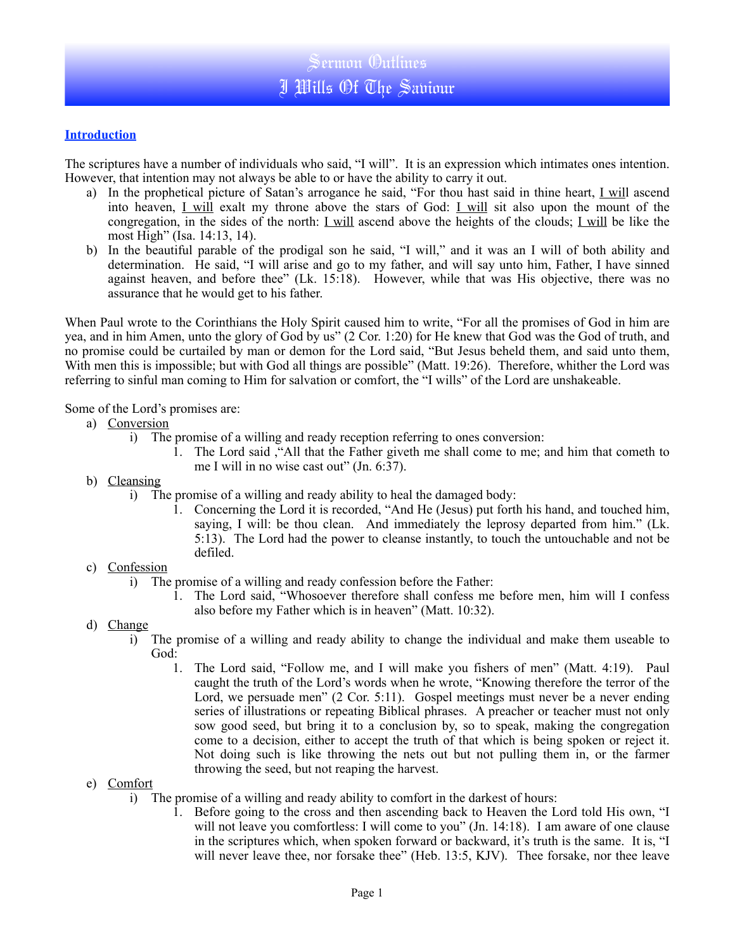## **Introduction**

The scriptures have a number of individuals who said, "I will". It is an expression which intimates ones intention. However, that intention may not always be able to or have the ability to carry it out.

- a) In the prophetical picture of Satan's arrogance he said, "For thou hast said in thine heart, I will ascend into heaven, *I will* exalt my throne above the stars of God: *I will* sit also upon the mount of the congregation, in the sides of the north: <u>I will</u> ascend above the heights of the clouds; <u>I will</u> be like the most High" (Isa. 14:13, 14).
- b) In the beautiful parable of the prodigal son he said, "I will," and it was an I will of both ability and determination. He said, "I will arise and go to my father, and will say unto him, Father, I have sinned against heaven, and before thee" (Lk. 15:18). However, while that was His objective, there was no assurance that he would get to his father.

When Paul wrote to the Corinthians the Holy Spirit caused him to write, "For all the promises of God in him are yea, and in him Amen, unto the glory of God by us" (2 Cor. 1:20) for He knew that God was the God of truth, and no promise could be curtailed by man or demon for the Lord said, "But Jesus beheld them, and said unto them, With men this is impossible; but with God all things are possible" (Matt. 19:26). Therefore, whither the Lord was referring to sinful man coming to Him for salvation or comfort, the "I wills" of the Lord are unshakeable.

Some of the Lord's promises are:

- a) Conversion
	- i) The promise of a willing and ready reception referring to ones conversion:
		- 1. The Lord said ,"All that the Father giveth me shall come to me; and him that cometh to me I will in no wise cast out" (Jn. 6:37).
- b) Cleansing
	- i) The promise of a willing and ready ability to heal the damaged body:
		- 1. Concerning the Lord it is recorded, "And He (Jesus) put forth his hand, and touched him, saying, I will: be thou clean. And immediately the leprosy departed from him." (Lk. 5:13). The Lord had the power to cleanse instantly, to touch the untouchable and not be defiled.
- c) Confession
	- i) The promise of a willing and ready confession before the Father:
		- 1. The Lord said, "Whosoever therefore shall confess me before men, him will I confess also before my Father which is in heaven" (Matt. 10:32).
- d) Change
	- i) The promise of a willing and ready ability to change the individual and make them useable to God:
		- 1. The Lord said, "Follow me, and I will make you fishers of men" (Matt. 4:19). Paul caught the truth of the Lord's words when he wrote, "Knowing therefore the terror of the Lord, we persuade men" (2 Cor. 5:11). Gospel meetings must never be a never ending series of illustrations or repeating Biblical phrases. A preacher or teacher must not only sow good seed, but bring it to a conclusion by, so to speak, making the congregation come to a decision, either to accept the truth of that which is being spoken or reject it. Not doing such is like throwing the nets out but not pulling them in, or the farmer throwing the seed, but not reaping the harvest.
- e) Comfort
	- i) The promise of a willing and ready ability to comfort in the darkest of hours:
		- 1. Before going to the cross and then ascending back to Heaven the Lord told His own, "I will not leave you comfortless: I will come to you" (Jn. 14:18). I am aware of one clause in the scriptures which, when spoken forward or backward, it's truth is the same. It is, "I will never leave thee, nor forsake thee" (Heb. 13:5, KJV). Thee forsake, nor thee leave